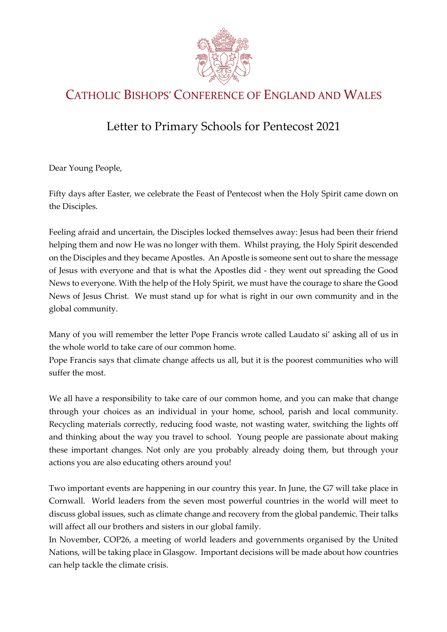

## CATHOLIC BISHOPS' CONFERENCE OF ENGLAND AND WALES

## Letter to Primary Schools for Pentecost 2021

Dear Young People,

Fifty days after Easter, we celebrate the Feast of Pentecost when the Holy Spirit came down on the Disciples.

Feeling afraid and uncertain, the Disciples locked themselves away: Jesus had been their friend helping them and now He was no longer with them. Whilst praying, the Holy Spirit descended on the Disciples and they became Apostles. An Apostle is someone sent out to share the message of Jesus with everyone and that is what the Apostles did - they went out spreading the Good News to everyone. With the help of the Holy Spirit, we must have the courage to share the Good News of Jesus Christ. We must stand up for what is right in our own community and in the global community.

Many of you will remember the letter Pope Francis wrote called Laudato si' asking all of us in the whole world to take care of our common home.

Pope Francis says that climate change affects us all, but it is the poorest communities who will suffer the most.

We all have a responsibility to take care of our common home, and you can make that change through your choices as an individual in your home, school, parish and local community. Recycling materials correctly, reducing food waste, not wasting water, switching the lights off and thinking about the way you travel to school. Young people are passionate about making these important changes. Not only are you probably already doing them, but through your actions you are also educating others around you!

Two important events are happening in our country this year. In June, the G7 will take place in Cornwall. World leaders from the seven most powerful countries in the world will meet to discuss global issues, such as climate change and recovery from the global pandemic. Their talks will affect all our brothers and sisters in our global family.

In November, COP26, a meeting of world leaders and governments organised by the United Nations, will be taking place in Glasgow. Important decisions will be made about how countries can help tackle the climate crisis.